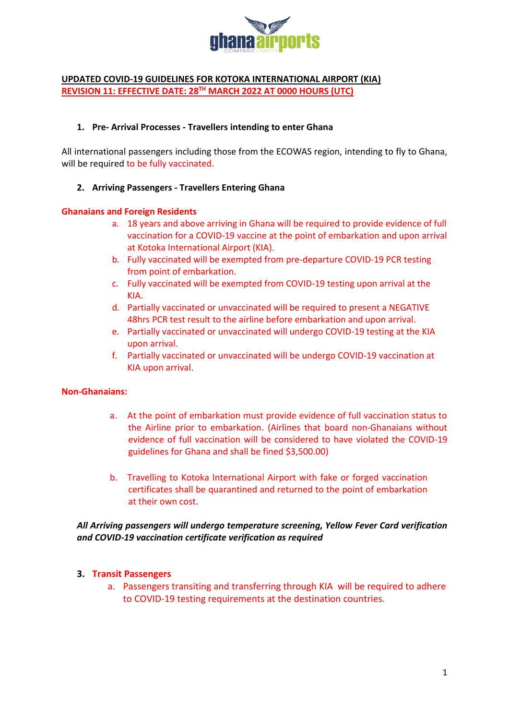

## **UPDATED COVID-19 GUIDELINES FOR KOTOKA INTERNATIONAL AIRPORT (KIA) REVISION 11: EFFECTIVE DATE: 28TH MARCH 2022 AT 0000 HOURS (UTC)**

### **1. Pre- Arrival Processes - Travellers intending to enter Ghana**

All international passengers including those from the ECOWAS region, intending to fly to Ghana, will be required to be fully vaccinated.

#### **2. Arriving Passengers - Travellers Entering Ghana**

#### **Ghanaians and Foreign Residents**

- a. 18 years and above arriving in Ghana will be required to provide evidence of full vaccination for a COVID-19 vaccine at the point of embarkation and upon arrival at Kotoka International Airport (KIA).
- b. Fully vaccinated will be exempted from pre-departure COVID-19 PCR testing from point of embarkation.
- c. Fully vaccinated will be exempted from COVID-19 testing upon arrival at the KIA.
- d. Partially vaccinated or unvaccinated will be required to present a NEGATIVE 48hrs PCR test result to the airline before embarkation and upon arrival.
- e. Partially vaccinated or unvaccinated will undergo COVID-19 testing at the KIA upon arrival.
- f. Partially vaccinated or unvaccinated will be undergo COVID-19 vaccination at KIA upon arrival.

#### **Non-Ghanaians:**

- a. At the point of embarkation must provide evidence of full vaccination status to the Airline prior to embarkation. (Airlines that board non-Ghanaians without evidence of full vaccination will be considered to have violated the COVID-19 guidelines for Ghana and shall be fined \$3,500.00)
- b. Travelling to Kotoka International Airport with fake or forged vaccination certificates shall be quarantined and returned to the point of embarkation at their own cost.

## *All Arriving passengers will undergo temperature screening, Yellow Fever Card verification and COVID-19 vaccination certificate verification as required*

## **3. Transit Passengers**

a. Passengers transiting and transferring through KIA will be required to adhere to COVID-19 testing requirements at the destination countries.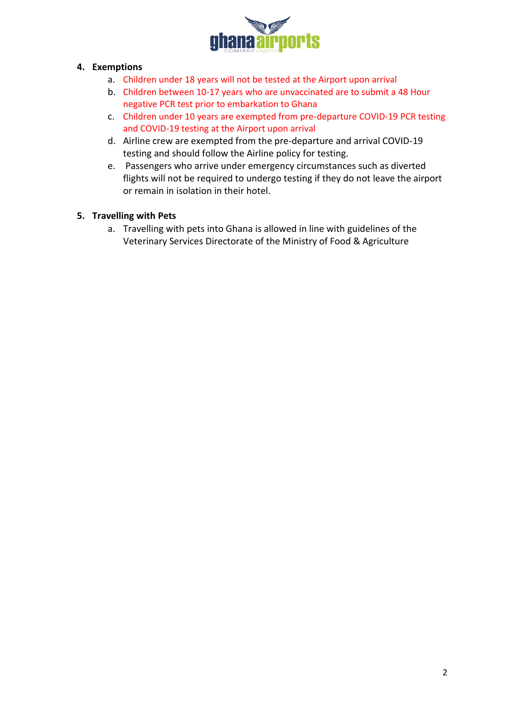

# **4. Exemptions**

- a. Children under 18 years will not be tested at the Airport upon arrival
- b. Children between 10-17 years who are unvaccinated are to submit a 48 Hour negative PCR test prior to embarkation to Ghana
- c. Children under 10 years are exempted from pre-departure COVID-19 PCR testing and COVID-19 testing at the Airport upon arrival
- d. Airline crew are exempted from the pre-departure and arrival COVID-19 testing and should follow the Airline policy for testing.
- e. Passengers who arrive under emergency circumstances such as diverted flights will not be required to undergo testing if they do not leave the airport or remain in isolation in their hotel.

# **5. Travelling with Pets**

a. Travelling with pets into Ghana is allowed in line with guidelines of the Veterinary Services Directorate of the Ministry of Food & Agriculture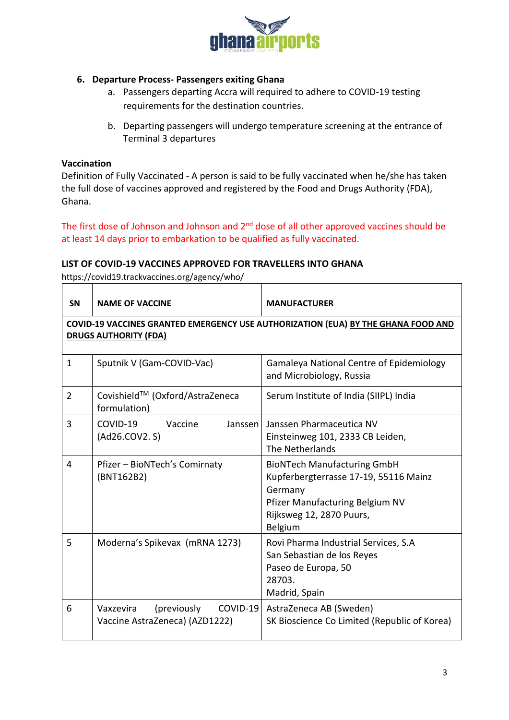

## **6. Departure Process- Passengers exiting Ghana**

- a. Passengers departing Accra will required to adhere to COVID-19 testing requirements for the destination countries.
- b. Departing passengers will undergo temperature screening at the entrance of Terminal 3 departures

## **Vaccination**

Definition of Fully Vaccinated - A person is said to be fully vaccinated when he/she has taken the full dose of vaccines approved and registered by the Food and Drugs Authority (FDA), Ghana.

The first dose of Johnson and Johnson and 2<sup>nd</sup> dose of all other approved vaccines should be at least 14 days prior to embarkation to be qualified as fully vaccinated.

#### **LIST OF COVID-19 VACCINES APPROVED FOR TRAVELLERS INTO GHANA**

https://covid19.trackvaccines.org/agency/who/

| <b>SN</b>                                                                                                                | <b>NAME OF VACCINE</b>                                                 | <b>MANUFACTURER</b>                                                                                                                                              |  |
|--------------------------------------------------------------------------------------------------------------------------|------------------------------------------------------------------------|------------------------------------------------------------------------------------------------------------------------------------------------------------------|--|
| <b>COVID-19 VACCINES GRANTED EMERGENCY USE AUTHORIZATION (EUA) BY THE GHANA FOOD AND</b><br><b>DRUGS AUTHORITY (FDA)</b> |                                                                        |                                                                                                                                                                  |  |
| $\mathbf{1}$                                                                                                             | Sputnik V (Gam-COVID-Vac)                                              | <b>Gamaleya National Centre of Epidemiology</b><br>and Microbiology, Russia                                                                                      |  |
| $\overline{2}$                                                                                                           | Covishield™ (Oxford/AstraZeneca<br>formulation)                        | Serum Institute of India (SIIPL) India                                                                                                                           |  |
| 3                                                                                                                        | COVID-19<br>Vaccine<br>Janssen<br>(Ad26.COV2. S)                       | Janssen Pharmaceutica NV<br>Einsteinweg 101, 2333 CB Leiden,<br>The Netherlands                                                                                  |  |
| 4                                                                                                                        | Pfizer - BioNTech's Comirnaty<br>(BNT162B2)                            | <b>BioNTech Manufacturing GmbH</b><br>Kupferbergterrasse 17-19, 55116 Mainz<br>Germany<br>Pfizer Manufacturing Belgium NV<br>Rijksweg 12, 2870 Puurs,<br>Belgium |  |
| 5                                                                                                                        | Moderna's Spikevax (mRNA 1273)                                         | Rovi Pharma Industrial Services, S.A<br>San Sebastian de los Reyes<br>Paseo de Europa, 50<br>28703.<br>Madrid, Spain                                             |  |
| 6                                                                                                                        | (previously<br>COVID-19<br>Vaxzevira<br>Vaccine AstraZeneca) (AZD1222) | AstraZeneca AB (Sweden)<br>SK Bioscience Co Limited (Republic of Korea)                                                                                          |  |